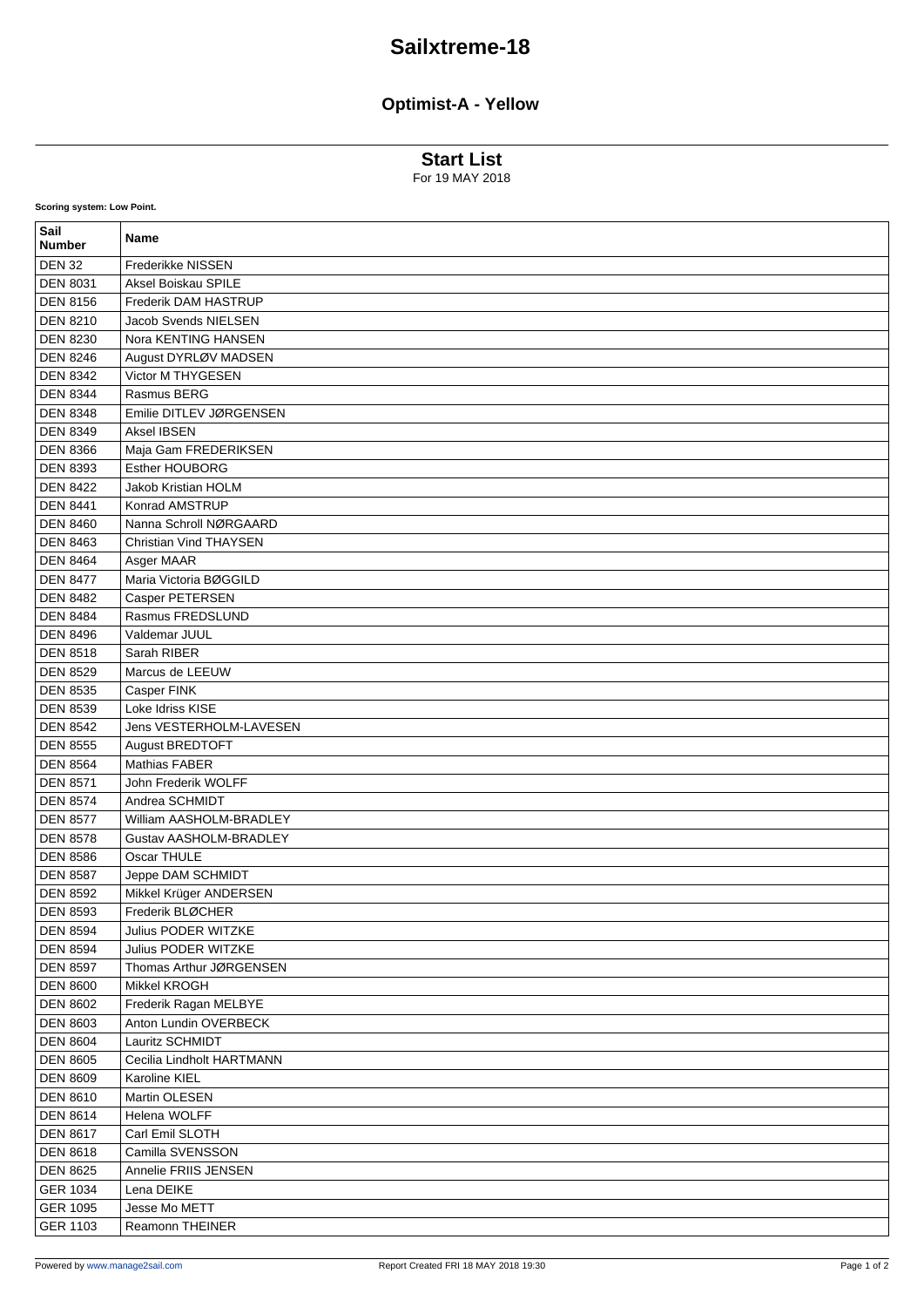## **Sailxtreme-18**

## **Optimist-A - Yellow**

**Start List**

For 19 MAY 2018

| Sail<br><b>Number</b>       | Name                          |
|-----------------------------|-------------------------------|
| <b>DEN 32</b>               | Frederikke NISSEN             |
| <b>DEN 8031</b>             | Aksel Boiskau SPILE           |
| <b>DEN 8156</b>             | Frederik DAM HASTRUP          |
| <b>DEN 8210</b>             | Jacob Svends NIELSEN          |
| <b>DEN 8230</b>             | Nora KENTING HANSEN           |
| <b>DEN 8246</b>             | August DYRLØV MADSEN          |
| <b>DEN 8342</b>             | Victor M THYGESEN             |
| <b>DEN 8344</b>             | Rasmus BERG                   |
| <b>DEN 8348</b>             | Emilie DITLEV JØRGENSEN       |
| <b>DEN 8349</b>             | Aksel IBSEN                   |
| <b>DEN 8366</b>             | Maja Gam FREDERIKSEN          |
| <b>DEN 8393</b>             | <b>Esther HOUBORG</b>         |
| <b>DEN 8422</b>             | <b>Jakob Kristian HOLM</b>    |
| <b>DEN 8441</b>             | Konrad AMSTRUP                |
| <b>DEN 8460</b>             | Nanna Schroll NØRGAARD        |
| <b>DEN 8463</b>             | <b>Christian Vind THAYSEN</b> |
| <b>DEN 8464</b>             | Asger MAAR                    |
| <b>DEN 8477</b>             | Maria Victoria BØGGILD        |
| <b>DEN 8482</b>             | Casper PETERSEN               |
| <b>DEN 8484</b>             | Rasmus FREDSLUND              |
| <b>DEN 8496</b>             | Valdemar JUUL                 |
| <b>DEN 8518</b>             | Sarah RIBER                   |
| <b>DEN 8529</b>             | Marcus de LEEUW               |
| <b>DEN 8535</b>             | Casper FINK                   |
| <b>DEN 8539</b>             | Loke Idriss KISE              |
| <b>DEN 8542</b>             | Jens VESTERHOLM-LAVESEN       |
| <b>DEN 8555</b>             | August BREDTOFT               |
| <b>DEN 8564</b>             | Mathias FABER                 |
| <b>DEN 8571</b>             | John Frederik WOLFF           |
| <b>DEN 8574</b>             | Andrea SCHMIDT                |
| <b>DEN 8577</b>             | William AASHOLM-BRADLEY       |
| <b>DEN 8578</b>             | <b>Gustav AASHOLM-BRADLEY</b> |
| <b>DEN 8586</b>             | Oscar THULE                   |
| <b>DEN 8587</b>             | Jeppe DAM SCHMIDT             |
| <b>DEN 8592</b>             | Mikkel Krüger ANDERSEN        |
| <b>DEN 8593</b>             | Frederik BLØCHER              |
| <b>DEN 8594</b>             | Julius PODER WITZKE           |
| <b>DEN 8594</b>             | <b>Julius PODER WITZKE</b>    |
| <b>DEN 8597</b>             | Thomas Arthur JØRGENSEN       |
| <b>DEN 8600</b>             | Mikkel KROGH                  |
| <b>DEN 8602</b>             | Frederik Ragan MELBYE         |
| <b>DEN 8603</b>             | Anton Lundin OVERBECK         |
| <b>DEN 8604</b>             | Lauritz SCHMIDT               |
| <b>DEN 8605</b>             | Cecilia Lindholt HARTMANN     |
| <b>DEN 8609</b>             | Karoline KIEL                 |
| <b>DEN 8610</b>             | Martin OLESEN                 |
| <b>DEN 8614</b>             | Helena WOLFF                  |
|                             | Carl Emil SLOTH               |
| <b>DEN 8617</b>             | Camilla SVENSSON              |
| <b>DEN 8618</b>             |                               |
| <b>DEN 8625</b>             | Annelie FRIIS JENSEN          |
| GER 1034                    | Lena DEIKE<br>Jesse Mo METT   |
| GER 1095<br><b>GER 1103</b> | Reamonn THEINER               |
|                             |                               |

**Scoring system: Low Point.**